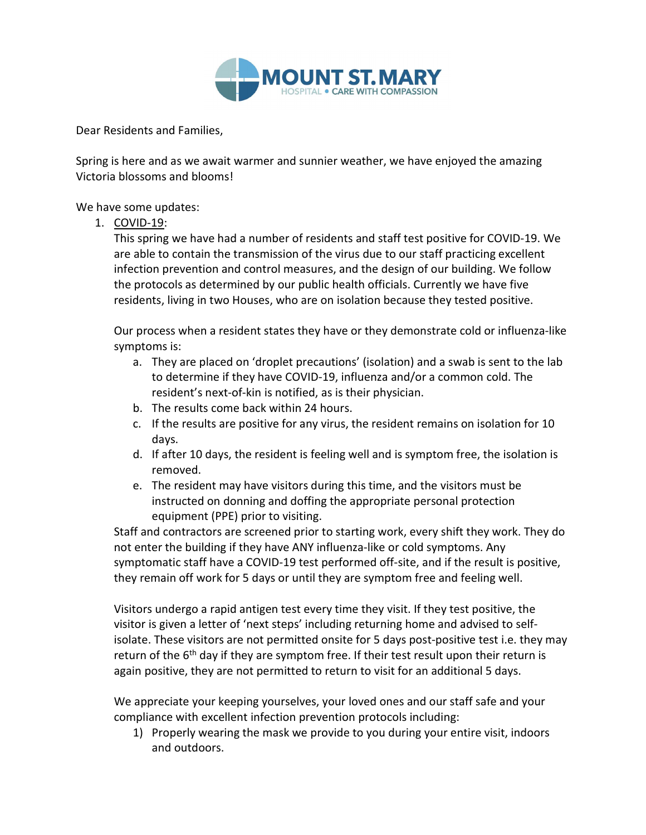

Dear Residents and Families,

Spring is here and as we await warmer and sunnier weather, we have enjoyed the amazing Victoria blossoms and blooms!

We have some updates:

1. COVID-19:

This spring we have had a number of residents and staff test positive for COVID-19. We are able to contain the transmission of the virus due to our staff practicing excellent infection prevention and control measures, and the design of our building. We follow the protocols as determined by our public health officials. Currently we have five residents, living in two Houses, who are on isolation because they tested positive.

Our process when a resident states they have or they demonstrate cold or influenza-like symptoms is:

- a. They are placed on 'droplet precautions' (isolation) and a swab is sent to the lab to determine if they have COVID-19, influenza and/or a common cold. The resident's next-of-kin is notified, as is their physician.
- b. The results come back within 24 hours.
- c. If the results are positive for any virus, the resident remains on isolation for 10 days.
- d. If after 10 days, the resident is feeling well and is symptom free, the isolation is removed.
- e. The resident may have visitors during this time, and the visitors must be instructed on donning and doffing the appropriate personal protection equipment (PPE) prior to visiting.

Staff and contractors are screened prior to starting work, every shift they work. They do not enter the building if they have ANY influenza-like or cold symptoms. Any symptomatic staff have a COVID-19 test performed off-site, and if the result is positive, they remain off work for 5 days or until they are symptom free and feeling well.

Visitors undergo a rapid antigen test every time they visit. If they test positive, the visitor is given a letter of 'next steps' including returning home and advised to selfisolate. These visitors are not permitted onsite for 5 days post-positive test i.e. they may return of the 6<sup>th</sup> day if they are symptom free. If their test result upon their return is again positive, they are not permitted to return to visit for an additional 5 days.

We appreciate your keeping yourselves, your loved ones and our staff safe and your compliance with excellent infection prevention protocols including:

1) Properly wearing the mask we provide to you during your entire visit, indoors and outdoors.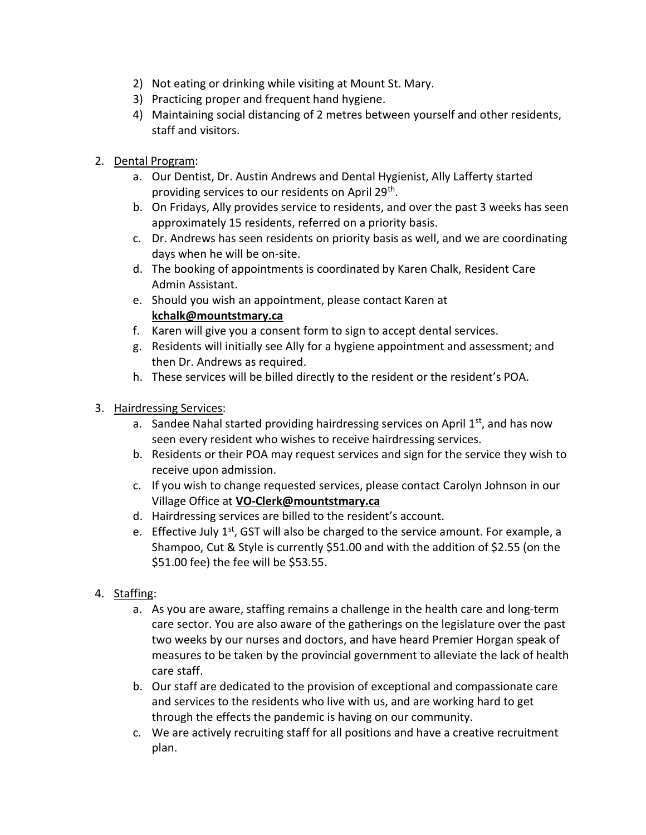- 2) Not eating or drinking while visiting at Mount St. Mary.
- 3) Practicing proper and frequent hand hygiene.
- 4) Maintaining social distancing of 2 metres between yourself and other residents, staff and visitors.
- 2. Dental Program:
	- a. Our Dentist, Dr. Austin Andrews and Dental Hygienist, Ally Lafferty started providing services to our residents on April 29<sup>th</sup>.
	- b. On Fridays, Ally provides service to residents, and over the past 3 weeks has seen approximately 15 residents, referred on a priority basis.
	- c. Dr. Andrews has seen residents on priority basis as well, and we are coordinating days when he will be on-site.
	- d. The booking of appointments is coordinated by Karen Chalk, Resident Care Admin Assistant.
	- e. Should you wish an appointment, please contact Karen at kchalk@mountstmary.ca
	- f. Karen will give you a consent form to sign to accept dental services.
	- g. Residents will initially see Ally for a hygiene appointment and assessment; and then Dr. Andrews as required.
	- h. These services will be billed directly to the resident or the resident's POA.
- 3. Hairdressing Services:
	- a. Sandee Nahal started providing hairdressing services on April  $1^{st}$ , and has now seen every resident who wishes to receive hairdressing services.
	- b. Residents or their POA may request services and sign for the service they wish to receive upon admission.
	- c. If you wish to change requested services, please contact Carolyn Johnson in our Village Office at VO-Clerk@mountstmary.ca
	- d. Hairdressing services are billed to the resident's account.
	- e. Effective July  $1<sup>st</sup>$ , GST will also be charged to the service amount. For example, a Shampoo, Cut & Style is currently \$51.00 and with the addition of \$2.55 (on the \$51.00 fee) the fee will be \$53.55.
- 4. Staffing:
	- a. As you are aware, staffing remains a challenge in the health care and long-term care sector. You are also aware of the gatherings on the legislature over the past two weeks by our nurses and doctors, and have heard Premier Horgan speak of measures to be taken by the provincial government to alleviate the lack of health care staff.
	- b. Our staff are dedicated to the provision of exceptional and compassionate care and services to the residents who live with us, and are working hard to get through the effects the pandemic is having on our community.
	- c. We are actively recruiting staff for all positions and have a creative recruitment plan.